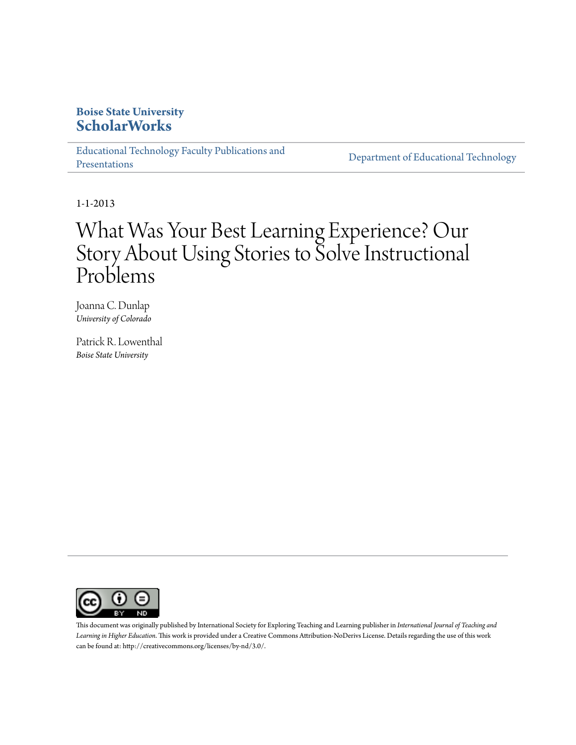# **Boise State University [ScholarWorks](https://scholarworks.boisestate.edu)**

[Educational Technology Faculty Publications and](https://scholarworks.boisestate.edu/edtech_facpubs) [Presentations](https://scholarworks.boisestate.edu/edtech_facpubs)

[Department of Educational Technology](https://scholarworks.boisestate.edu/edtech)

1-1-2013

# What Was Your Best Learning Experience? Our Story About Using Stories to Solve Instructional Problems

Joanna C. Dunlap *University of Colorado*

Patrick R. Lowenthal *Boise State University*



This document was originally published by International Society for Exploring Teaching and Learning publisher in *International Journal of Teaching and Learning in Higher Education*. This work is provided under a Creative Commons Attribution-NoDerivs License. Details regarding the use of this work can be found at: http://creativecommons.org/licenses/by-nd/3.0/.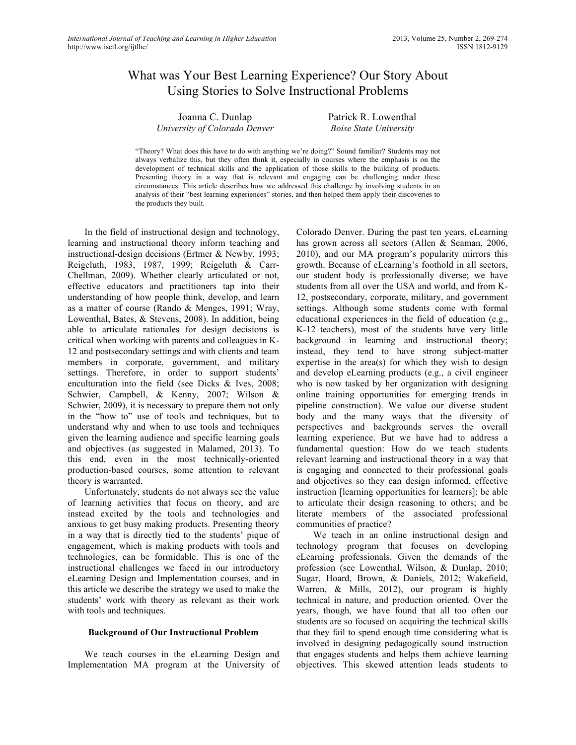# What was Your Best Learning Experience? Our Story About Using Stories to Solve Instructional Problems

Joanna C. Dunlap *University of Colorado Denver* Patrick R. Lowenthal *Boise State University*

"Theory? What does this have to do with anything we're doing?" Sound familiar? Students may not always verbalize this, but they often think it, especially in courses where the emphasis is on the development of technical skills and the application of those skills to the building of products. Presenting theory in a way that is relevant and engaging can be challenging under these circumstances. This article describes how we addressed this challenge by involving students in an analysis of their "best learning experiences" stories, and then helped them apply their discoveries to the products they built.

In the field of instructional design and technology, learning and instructional theory inform teaching and instructional-design decisions (Ertmer & Newby, 1993; Reigeluth, 1983, 1987, 1999; Reigeluth & Carr-Chellman, 2009). Whether clearly articulated or not, effective educators and practitioners tap into their understanding of how people think, develop, and learn as a matter of course (Rando & Menges, 1991; Wray, Lowenthal, Bates, & Stevens, 2008). In addition, being able to articulate rationales for design decisions is critical when working with parents and colleagues in K-12 and postsecondary settings and with clients and team members in corporate, government, and military settings. Therefore, in order to support students' enculturation into the field (see Dicks & Ives, 2008; Schwier, Campbell, & Kenny, 2007; Wilson & Schwier, 2009), it is necessary to prepare them not only in the "how to" use of tools and techniques, but to understand why and when to use tools and techniques given the learning audience and specific learning goals and objectives (as suggested in Malamed, 2013). To this end, even in the most technically-oriented production-based courses, some attention to relevant theory is warranted.

Unfortunately, students do not always see the value of learning activities that focus on theory, and are instead excited by the tools and technologies and anxious to get busy making products. Presenting theory in a way that is directly tied to the students' pique of engagement, which is making products with tools and technologies, can be formidable. This is one of the instructional challenges we faced in our introductory eLearning Design and Implementation courses, and in this article we describe the strategy we used to make the students' work with theory as relevant as their work with tools and techniques.

#### **Background of Our Instructional Problem**

We teach courses in the eLearning Design and Implementation MA program at the University of Colorado Denver. During the past ten years, eLearning has grown across all sectors (Allen & Seaman, 2006, 2010), and our MA program's popularity mirrors this growth. Because of eLearning's foothold in all sectors, our student body is professionally diverse; we have students from all over the USA and world, and from K-12, postsecondary, corporate, military, and government settings. Although some students come with formal educational experiences in the field of education (e.g., K-12 teachers), most of the students have very little background in learning and instructional theory; instead, they tend to have strong subject-matter expertise in the area(s) for which they wish to design and develop eLearning products (e.g., a civil engineer who is now tasked by her organization with designing online training opportunities for emerging trends in pipeline construction). We value our diverse student body and the many ways that the diversity of perspectives and backgrounds serves the overall learning experience. But we have had to address a fundamental question: How do we teach students relevant learning and instructional theory in a way that is engaging and connected to their professional goals and objectives so they can design informed, effective instruction [learning opportunities for learners]; be able to articulate their design reasoning to others; and be literate members of the associated professional communities of practice?

We teach in an online instructional design and technology program that focuses on developing eLearning professionals. Given the demands of the profession (see Lowenthal, Wilson, & Dunlap, 2010; Sugar, Hoard, Brown, & Daniels, 2012; Wakefield, Warren, & Mills, 2012), our program is highly technical in nature, and production oriented. Over the years, though, we have found that all too often our students are so focused on acquiring the technical skills that they fail to spend enough time considering what is involved in designing pedagogically sound instruction that engages students and helps them achieve learning objectives. This skewed attention leads students to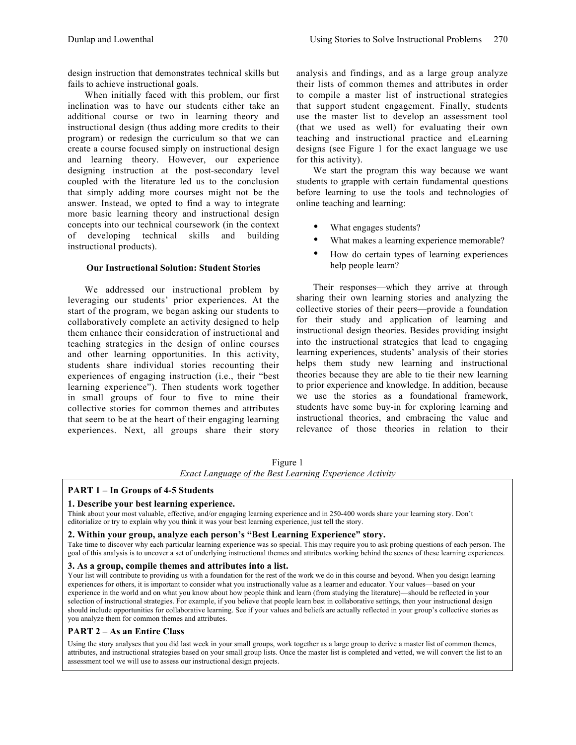design instruction that demonstrates technical skills but fails to achieve instructional goals.

When initially faced with this problem, our first inclination was to have our students either take an additional course or two in learning theory and instructional design (thus adding more credits to their program) or redesign the curriculum so that we can create a course focused simply on instructional design and learning theory. However, our experience designing instruction at the post-secondary level coupled with the literature led us to the conclusion that simply adding more courses might not be the answer. Instead, we opted to find a way to integrate more basic learning theory and instructional design concepts into our technical coursework (in the context of developing technical skills and building instructional products).

#### **Our Instructional Solution: Student Stories**

We addressed our instructional problem by leveraging our students' prior experiences. At the start of the program, we began asking our students to collaboratively complete an activity designed to help them enhance their consideration of instructional and teaching strategies in the design of online courses and other learning opportunities. In this activity, students share individual stories recounting their experiences of engaging instruction (i.e., their "best learning experience"). Then students work together in small groups of four to five to mine their collective stories for common themes and attributes that seem to be at the heart of their engaging learning experiences. Next, all groups share their story analysis and findings, and as a large group analyze their lists of common themes and attributes in order to compile a master list of instructional strategies that support student engagement. Finally, students use the master list to develop an assessment tool (that we used as well) for evaluating their own teaching and instructional practice and eLearning designs (see Figure 1 for the exact language we use for this activity).

We start the program this way because we want students to grapple with certain fundamental questions before learning to use the tools and technologies of online teaching and learning:

- What engages students?
- What makes a learning experience memorable?
- How do certain types of learning experiences help people learn?

Their responses—which they arrive at through sharing their own learning stories and analyzing the collective stories of their peers—provide a foundation for their study and application of learning and instructional design theories. Besides providing insight into the instructional strategies that lead to engaging learning experiences, students' analysis of their stories helps them study new learning and instructional theories because they are able to tie their new learning to prior experience and knowledge. In addition, because we use the stories as a foundational framework, students have some buy-in for exploring learning and instructional theories, and embracing the value and relevance of those theories in relation to their

Figure 1

*Exact Language of the Best Learning Experience Activity*

# **PART 1 – In Groups of 4-5 Students**

# **1. Describe your best learning experience.**

Think about your most valuable, effective, and/or engaging learning experience and in 250-400 words share your learning story. Don't editorialize or try to explain why you think it was your best learning experience, just tell the story.

## **2. Within your group, analyze each person's "Best Learning Experience" story.**

Take time to discover why each particular learning experience was so special. This may require you to ask probing questions of each person. The goal of this analysis is to uncover a set of underlying instructional themes and attributes working behind the scenes of these learning experiences.

#### **3. As a group, compile themes and attributes into a list.**

Your list will contribute to providing us with a foundation for the rest of the work we do in this course and beyond. When you design learning experiences for others, it is important to consider what you instructionally value as a learner and educator. Your values—based on your experience in the world and on what you know about how people think and learn (from studying the literature)—should be reflected in your selection of instructional strategies. For example, if you believe that people learn best in collaborative settings, then your instructional design should include opportunities for collaborative learning. See if your values and beliefs are actually reflected in your group's collective stories as you analyze them for common themes and attributes.

# **PART 2 – As an Entire Class**

Using the story analyses that you did last week in your small groups, work together as a large group to derive a master list of common themes, attributes, and instructional strategies based on your small group lists. Once the master list is completed and vetted, we will convert the list to an assessment tool we will use to assess our instructional design projects.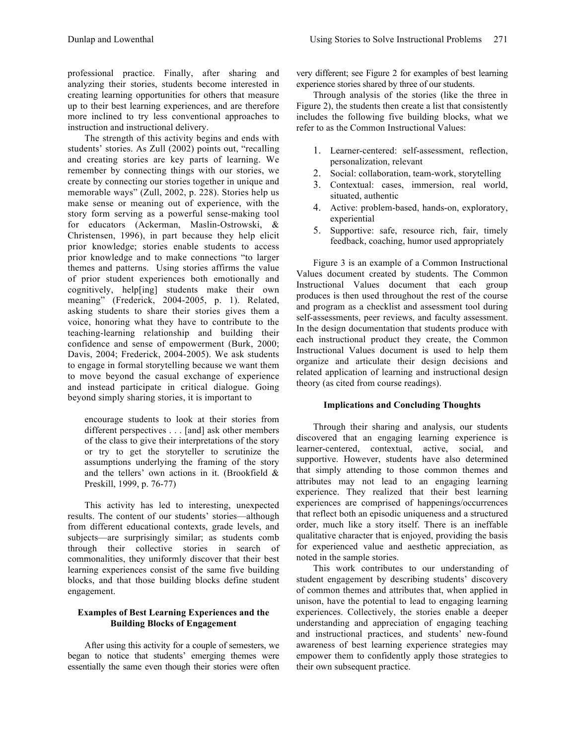professional practice. Finally, after sharing and analyzing their stories, students become interested in creating learning opportunities for others that measure up to their best learning experiences, and are therefore more inclined to try less conventional approaches to instruction and instructional delivery.

The strength of this activity begins and ends with students' stories. As Zull (2002) points out, "recalling and creating stories are key parts of learning. We remember by connecting things with our stories, we create by connecting our stories together in unique and memorable ways" (Zull, 2002, p. 228). Stories help us make sense or meaning out of experience, with the story form serving as a powerful sense-making tool for educators (Ackerman, Maslin-Ostrowski, & Christensen, 1996), in part because they help elicit prior knowledge; stories enable students to access prior knowledge and to make connections "to larger themes and patterns. Using stories affirms the value of prior student experiences both emotionally and cognitively, help[ing] students make their own meaning" (Frederick, 2004-2005, p. 1). Related, asking students to share their stories gives them a voice, honoring what they have to contribute to the teaching-learning relationship and building their confidence and sense of empowerment (Burk, 2000; Davis, 2004; Frederick, 2004-2005). We ask students to engage in formal storytelling because we want them to move beyond the casual exchange of experience and instead participate in critical dialogue. Going beyond simply sharing stories, it is important to

encourage students to look at their stories from different perspectives . . . [and] ask other members of the class to give their interpretations of the story or try to get the storyteller to scrutinize the assumptions underlying the framing of the story and the tellers' own actions in it. (Brookfield & Preskill, 1999, p. 76-77)

This activity has led to interesting, unexpected results. The content of our students' stories—although from different educational contexts, grade levels, and subjects—are surprisingly similar; as students comb through their collective stories in search of commonalities, they uniformly discover that their best learning experiences consist of the same five building blocks, and that those building blocks define student engagement.

## **Examples of Best Learning Experiences and the Building Blocks of Engagement**

After using this activity for a couple of semesters, we began to notice that students' emerging themes were essentially the same even though their stories were often very different; see Figure 2 for examples of best learning experience stories shared by three of our students.

Through analysis of the stories (like the three in Figure 2), the students then create a list that consistently includes the following five building blocks, what we refer to as the Common Instructional Values:

- 1. Learner-centered: self-assessment, reflection, personalization, relevant
- 2. Social: collaboration, team-work, storytelling
- 3. Contextual: cases, immersion, real world, situated, authentic
- 4. Active: problem-based, hands-on, exploratory, experiential
- 5. Supportive: safe, resource rich, fair, timely feedback, coaching, humor used appropriately

Figure 3 is an example of a Common Instructional Values document created by students. The Common Instructional Values document that each group produces is then used throughout the rest of the course and program as a checklist and assessment tool during self-assessments, peer reviews, and faculty assessment. In the design documentation that students produce with each instructional product they create, the Common Instructional Values document is used to help them organize and articulate their design decisions and related application of learning and instructional design theory (as cited from course readings).

# **Implications and Concluding Thoughts**

Through their sharing and analysis, our students discovered that an engaging learning experience is learner-centered, contextual, active, social, and supportive. However, students have also determined that simply attending to those common themes and attributes may not lead to an engaging learning experience. They realized that their best learning experiences are comprised of happenings/occurrences that reflect both an episodic uniqueness and a structured order, much like a story itself. There is an ineffable qualitative character that is enjoyed, providing the basis for experienced value and aesthetic appreciation, as noted in the sample stories.

This work contributes to our understanding of student engagement by describing students' discovery of common themes and attributes that, when applied in unison, have the potential to lead to engaging learning experiences. Collectively, the stories enable a deeper understanding and appreciation of engaging teaching and instructional practices, and students' new-found awareness of best learning experience strategies may empower them to confidently apply those strategies to their own subsequent practice.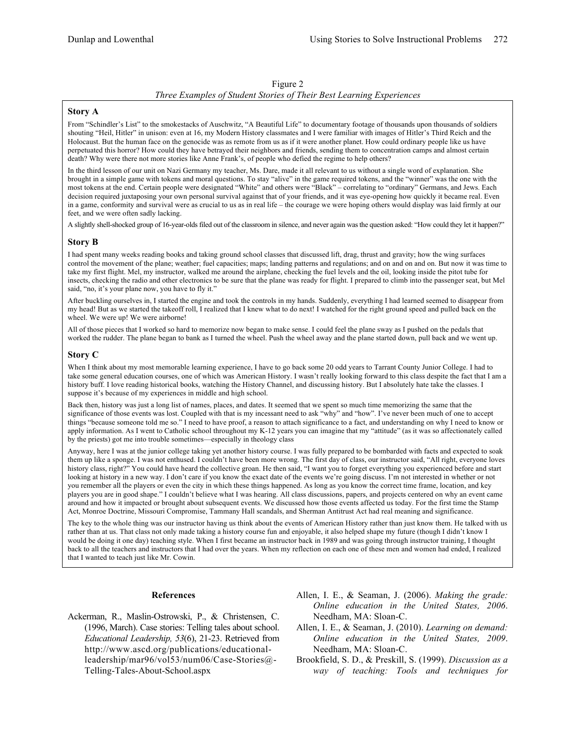#### Figure 2

#### *Three Examples of Student Stories of Their Best Learning Experiences*

#### **Story A**

From "Schindler's List" to the smokestacks of Auschwitz, "A Beautiful Life" to documentary footage of thousands upon thousands of soldiers shouting "Heil, Hitler" in unison: even at 16, my Modern History classmates and I were familiar with images of Hitler's Third Reich and the Holocaust. But the human face on the genocide was as remote from us as if it were another planet. How could ordinary people like us have perpetuated this horror? How could they have betrayed their neighbors and friends, sending them to concentration camps and almost certain death? Why were there not more stories like Anne Frank's, of people who defied the regime to help others?

In the third lesson of our unit on Nazi Germany my teacher, Ms. Dare, made it all relevant to us without a single word of explanation. She brought in a simple game with tokens and moral questions. To stay "alive" in the game required tokens, and the "winner" was the one with the most tokens at the end. Certain people were designated "White" and others were "Black" – correlating to "ordinary" Germans, and Jews. Each decision required juxtaposing your own personal survival against that of your friends, and it was eye-opening how quickly it became real. Even in a game, conformity and survival were as crucial to us as in real life – the courage we were hoping others would display was laid firmly at our feet, and we were often sadly lacking.

A slightly shell-shocked group of 16-year-olds filed out of the classroom in silence, and never again was the question asked: "How could they let it happen?"

#### **Story B**

I had spent many weeks reading books and taking ground school classes that discussed lift, drag, thrust and gravity; how the wing surfaces control the movement of the plane; weather; fuel capacities; maps; landing patterns and regulations; and on and on and on. But now it was time to take my first flight. Mel, my instructor, walked me around the airplane, checking the fuel levels and the oil, looking inside the pitot tube for insects, checking the radio and other electronics to be sure that the plane was ready for flight. I prepared to climb into the passenger seat, but Mel said, "no, it's your plane now, you have to fly it."

After buckling ourselves in, I started the engine and took the controls in my hands. Suddenly, everything I had learned seemed to disappear from my head! But as we started the takeoff roll, I realized that I knew what to do next! I watched for the right ground speed and pulled back on the wheel. We were up! We were airborne!

All of those pieces that I worked so hard to memorize now began to make sense. I could feel the plane sway as I pushed on the pedals that worked the rudder. The plane began to bank as I turned the wheel. Push the wheel away and the plane started down, pull back and we went up.

#### **Story C**

When I think about my most memorable learning experience, I have to go back some 20 odd years to Tarrant County Junior College. I had to take some general education courses, one of which was American History. I wasn't really looking forward to this class despite the fact that I am a history buff. I love reading historical books, watching the History Channel, and discussing history. But I absolutely hate take the classes. I suppose it's because of my experiences in middle and high school.

Back then, history was just a long list of names, places, and dates. It seemed that we spent so much time memorizing the same that the significance of those events was lost. Coupled with that is my incessant need to ask "why" and "how". I've never been much of one to accept things "because someone told me so." I need to have proof, a reason to attach significance to a fact, and understanding on why I need to know or apply information. As I went to Catholic school throughout my K-12 years you can imagine that my "attitude" (as it was so affectionately called by the priests) got me into trouble sometimes—especially in theology class

Anyway, here I was at the junior college taking yet another history course. I was fully prepared to be bombarded with facts and expected to soak them up like a sponge. I was not enthused. I couldn't have been more wrong. The first day of class, our instructor said, "All right, everyone loves history class, right?" You could have heard the collective groan. He then said, "I want you to forget everything you experienced before and start looking at history in a new way. I don't care if you know the exact date of the events we're going discuss. I'm not interested in whether or not you remember all the players or even the city in which these things happened. As long as you know the correct time frame, location, and key players you are in good shape." I couldn't believe what I was hearing. All class discussions, papers, and projects centered on why an event came around and how it impacted or brought about subsequent events. We discussed how those events affected us today. For the first time the Stamp Act, Monroe Doctrine, Missouri Compromise, Tammany Hall scandals, and Sherman Antitrust Act had real meaning and significance.

The key to the whole thing was our instructor having us think about the events of American History rather than just know them. He talked with us rather than at us. That class not only made taking a history course fun and enjoyable, it also helped shape my future (though I didn't know I would be doing it one day) teaching style. When I first became an instructor back in 1989 and was going through instructor training, I thought back to all the teachers and instructors that I had over the years. When my reflection on each one of these men and women had ended, I realized that I wanted to teach just like Mr. Cowin.

#### **References**

- Ackerman, R., Maslin-Ostrowski, P., & Christensen, C. (1996, March). Case stories: Telling tales about school. *Educational Leadership, 53*(6), 21-23. Retrieved from http://www.ascd.org/publications/educationalleadership/mar96/vol53/num06/Case-Stories@- Telling-Tales-About-School.aspx
- Allen, I. E., & Seaman, J. (2006). *Making the grade: Online education in the United States, 2006*. Needham, MA: Sloan-C.
- Allen, I. E., & Seaman, J. (2010). *Learning on demand: Online education in the United States, 2009*. Needham, MA: Sloan-C.
- Brookfield, S. D., & Preskill, S. (1999). *Discussion as a way of teaching: Tools and techniques for*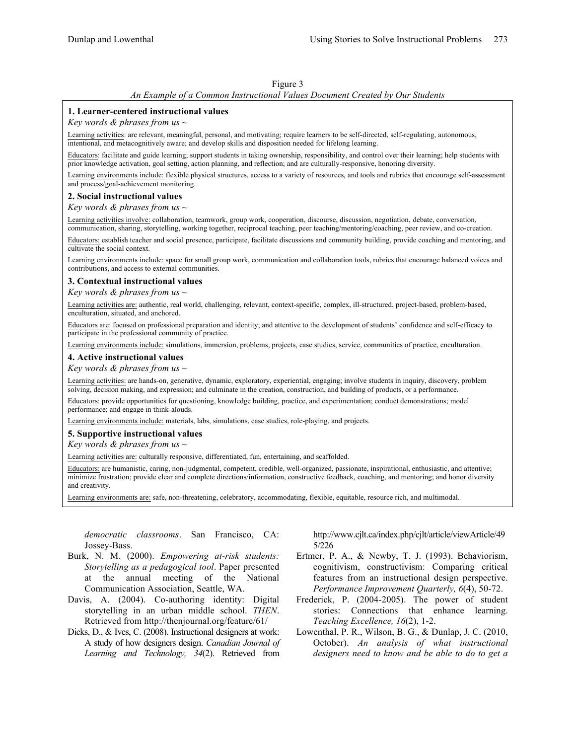#### Figure 3

#### *An Example of a Common Instructional Values Document Created by Our Students*

#### **1. Learner-centered instructional values**

*Key words & phrases from us ~*

Learning activities: are relevant, meaningful, personal, and motivating; require learners to be self-directed, self-regulating, autonomous, intentional, and metacognitively aware; and develop skills and disposition needed for lifelong learning.

Educators: facilitate and guide learning; support students in taking ownership, responsibility, and control over their learning; help students with prior knowledge activation, goal setting, action planning, and reflection; and are culturally-responsive, honoring diversity.

Learning environments include: flexible physical structures, access to a variety of resources, and tools and rubrics that encourage self-assessment and process/goal-achievement monitoring.

#### **2. Social instructional values**

*Key words & phrases from us ~*

Learning activities involve: collaboration, teamwork, group work, cooperation, discourse, discussion, negotiation, debate, conversation, communication, sharing, storytelling, working together, reciprocal teaching, peer teaching/mentoring/coaching, peer review, and co-creation.

Educators: establish teacher and social presence, participate, facilitate discussions and community building, provide coaching and mentoring, and cultivate the social context.

Learning environments include: space for small group work, communication and collaboration tools, rubrics that encourage balanced voices and contributions, and access to external communities.

#### **3. Contextual instructional values**

*Key words & phrases from us ~*

Learning activities are: authentic, real world, challenging, relevant, context-specific, complex, ill-structured, project-based, problem-based, enculturation, situated, and anchored.

Educators are: focused on professional preparation and identity; and attentive to the development of students' confidence and self-efficacy to participate in the professional community of practice.

Learning environments include: simulations, immersion, problems, projects, case studies, service, communities of practice, enculturation.

#### **4. Active instructional values**

*Key words & phrases from us ~*

Learning activities: are hands-on, generative, dynamic, exploratory, experiential, engaging; involve students in inquiry, discovery, problem solving, decision making, and expression; and culminate in the creation, construction, and building of products, or a performance.

Educators: provide opportunities for questioning, knowledge building, practice, and experimentation; conduct demonstrations; model performance; and engage in think-alouds.

Learning environments include: materials, labs, simulations, case studies, role-playing, and projects.

#### **5. Supportive instructional values**

*Key words & phrases from us ~*

Learning activities are: culturally responsive, differentiated, fun, entertaining, and scaffolded.

Educators: are humanistic, caring, non-judgmental, competent, credible, well-organized, passionate, inspirational, enthusiastic, and attentive; minimize frustration; provide clear and complete directions/information, constructive feedback, coaching, and mentoring; and honor diversity and creativity.

Learning environments are: safe, non-threatening, celebratory, accommodating, flexible, equitable, resource rich, and multimodal.

*democratic classrooms*. San Francisco, CA: Jossey-Bass.

- Burk, N. M. (2000). *Empowering at-risk students: Storytelling as a pedagogical tool*. Paper presented at the annual meeting of the National Communication Association, Seattle, WA.
- Davis, A. (2004). Co-authoring identity: Digital storytelling in an urban middle school. *THEN*. Retrieved from http://thenjournal.org/feature/61/
- Dicks, D., & Ives, C. (2008). Instructional designers at work: A study of how designers design. *Canadian Journal of Learning and Technology, 34*(2). Retrieved from

http://www.cjlt.ca/index.php/cjlt/article/viewArticle/49 5/226

- Ertmer, P. A., & Newby, T. J. (1993). Behaviorism, cognitivism, constructivism: Comparing critical features from an instructional design perspective. *Performance Improvement Quarterly, 6*(4), 50-72.
- Frederick, P. (2004-2005). The power of student stories: Connections that enhance learning. *Teaching Excellence, 16*(2), 1-2.
- Lowenthal, P. R., Wilson, B. G., & Dunlap, J. C. (2010, October). *An analysis of what instructional designers need to know and be able to do to get a*